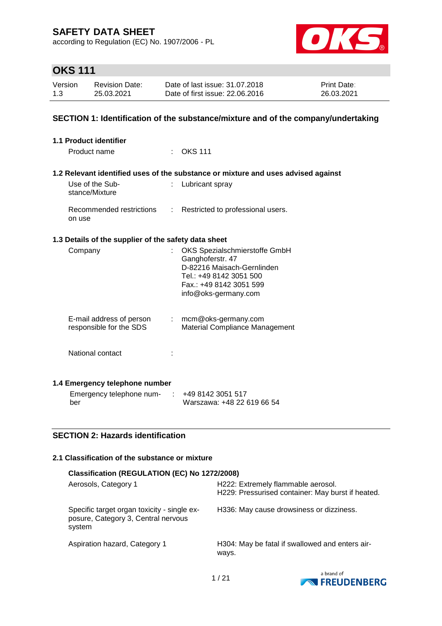according to Regulation (EC) No. 1907/2006 - PL



# **OKS 111**

| Version | Revision Date: | Date of last issue: 31.07.2018  | <b>Print Date:</b> |
|---------|----------------|---------------------------------|--------------------|
| 1.3     | 25.03.2021     | Date of first issue: 22,06,2016 | 26.03.2021         |

#### **SECTION 1: Identification of the substance/mixture and of the company/undertaking**

| <b>1.1 Product identifier</b>                        |                |                                                                                   |
|------------------------------------------------------|----------------|-----------------------------------------------------------------------------------|
| Product name                                         |                | <b>OKS 111</b>                                                                    |
|                                                      |                |                                                                                   |
|                                                      |                | 1.2 Relevant identified uses of the substance or mixture and uses advised against |
| Use of the Sub-<br>stance/Mixture                    |                | Lubricant spray                                                                   |
| Recommended restrictions<br>on use                   |                | : Restricted to professional users.                                               |
| 1.3 Details of the supplier of the safety data sheet |                |                                                                                   |
| Company                                              | t.             | OKS Spezialschmierstoffe GmbH                                                     |
|                                                      |                | Ganghoferstr. 47                                                                  |
|                                                      |                | D-82216 Maisach-Gernlinden                                                        |
|                                                      |                | Tel.: +49 8142 3051 500                                                           |
|                                                      |                | Fax.: +49 8142 3051 599                                                           |
|                                                      |                | info@oks-germany.com                                                              |
| E-mail address of person                             | $\mathbb{R}^n$ | mcm@oks-germany.com                                                               |
| responsible for the SDS                              |                | <b>Material Compliance Management</b>                                             |
|                                                      |                |                                                                                   |
| National contact                                     |                |                                                                                   |
|                                                      |                |                                                                                   |
| 1.4 Emergency telephone number                       |                |                                                                                   |
| Emergency telephone num-                             |                | +49 8142 3051 517                                                                 |
| ber                                                  |                | Warszawa: +48 22 619 66 54                                                        |

#### **SECTION 2: Hazards identification**

#### **2.1 Classification of the substance or mixture**

| Classification (REGULATION (EC) No 1272/2008)                                                |                                                                                         |  |  |  |  |
|----------------------------------------------------------------------------------------------|-----------------------------------------------------------------------------------------|--|--|--|--|
| Aerosols, Category 1                                                                         | H222: Extremely flammable aerosol.<br>H229: Pressurised container: May burst if heated. |  |  |  |  |
| Specific target organ toxicity - single ex-<br>posure, Category 3, Central nervous<br>system | H336: May cause drowsiness or dizziness.                                                |  |  |  |  |
| Aspiration hazard, Category 1                                                                | H304: May be fatal if swallowed and enters air-<br>ways.                                |  |  |  |  |

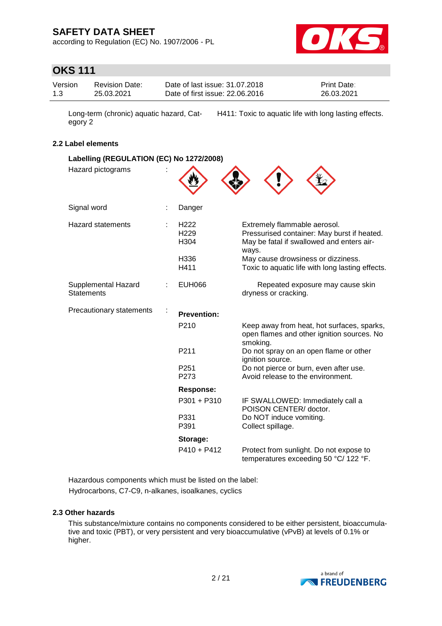according to Regulation (EC) No. 1907/2006 - PL



# **OKS 111**

| Version | <b>Revision Date:</b> | Date of last issue: 31.07.2018  | <b>Print Date:</b> |
|---------|-----------------------|---------------------------------|--------------------|
| 1.3     | 25.03.2021            | Date of first issue: 22.06.2016 | 26.03.2021         |

Long-term (chronic) aquatic hazard, Category 2 H411: Toxic to aquatic life with long lasting effects.

#### **2.2 Label elements**

| Labelling (REGULATION (EC) No 1272/2008) |  |                                              |                                                                                                                                   |  |  |
|------------------------------------------|--|----------------------------------------------|-----------------------------------------------------------------------------------------------------------------------------------|--|--|
| Hazard pictograms                        |  |                                              |                                                                                                                                   |  |  |
| Signal word                              |  | Danger                                       |                                                                                                                                   |  |  |
| <b>Hazard statements</b>                 |  | H <sub>222</sub><br>H <sub>229</sub><br>H304 | Extremely flammable aerosol.<br>Pressurised container: May burst if heated.<br>May be fatal if swallowed and enters air-<br>ways. |  |  |
|                                          |  | H336<br>H411                                 | May cause drowsiness or dizziness.<br>Toxic to aquatic life with long lasting effects.                                            |  |  |
| Supplemental Hazard<br><b>Statements</b> |  | <b>EUH066</b>                                | Repeated exposure may cause skin<br>dryness or cracking.                                                                          |  |  |
| Precautionary statements                 |  | <b>Prevention:</b>                           |                                                                                                                                   |  |  |
|                                          |  | P <sub>210</sub>                             | Keep away from heat, hot surfaces, sparks,<br>open flames and other ignition sources. No<br>smoking.                              |  |  |
|                                          |  | P211                                         | Do not spray on an open flame or other<br>ignition source.                                                                        |  |  |
|                                          |  | P <sub>251</sub><br>P273                     | Do not pierce or burn, even after use.<br>Avoid release to the environment.                                                       |  |  |
|                                          |  | <b>Response:</b>                             |                                                                                                                                   |  |  |
|                                          |  | P301 + P310                                  | IF SWALLOWED: Immediately call a<br>POISON CENTER/ doctor.                                                                        |  |  |
|                                          |  | P331<br>P391                                 | Do NOT induce vomiting.<br>Collect spillage.                                                                                      |  |  |
|                                          |  | Storage:                                     |                                                                                                                                   |  |  |
|                                          |  | $P410 + P412$                                | Protect from sunlight. Do not expose to<br>temperatures exceeding 50 °C/ 122 °F.                                                  |  |  |

Hazardous components which must be listed on the label: Hydrocarbons, C7-C9, n-alkanes, isoalkanes, cyclics

#### **2.3 Other hazards**

This substance/mixture contains no components considered to be either persistent, bioaccumulative and toxic (PBT), or very persistent and very bioaccumulative (vPvB) at levels of 0.1% or higher.

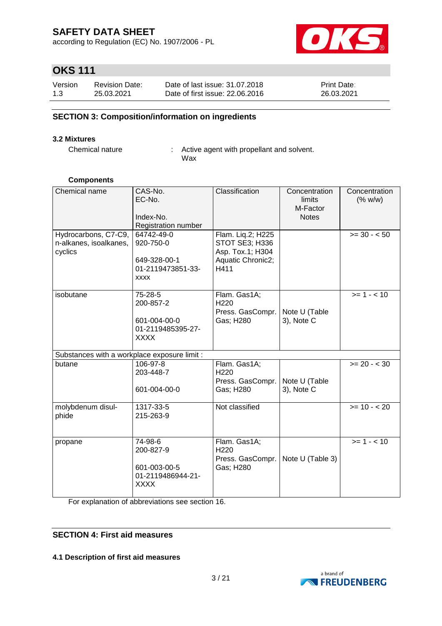according to Regulation (EC) No. 1907/2006 - PL



# **OKS 111**

| Version | <b>Revision Date:</b> | Date of last issue: 31.07.2018  | <b>Print Date:</b> |
|---------|-----------------------|---------------------------------|--------------------|
| 1.3     | 25.03.2021            | Date of first issue: 22,06,2016 | 26.03.2021         |

#### **SECTION 3: Composition/information on ingredients**

#### **3.2 Mixtures**

Chemical nature : Active agent with propellant and solvent. Wax

#### **Components**

| Chemical name<br>Hydrocarbons, C7-C9,<br>n-alkanes, isoalkanes,<br>cyclics | CAS-No.<br>EC-No.<br>Index-No.<br>Registration number<br>64742-49-0<br>920-750-0<br>649-328-00-1 | Classification<br>Flam. Liq.2; H225<br>STOT SE3; H336<br>Asp. Tox.1; H304<br>Aquatic Chronic2; | Concentration<br>limits<br>M-Factor<br><b>Notes</b> | Concentration<br>(% w/w)<br>$>= 30 - 50$ |
|----------------------------------------------------------------------------|--------------------------------------------------------------------------------------------------|------------------------------------------------------------------------------------------------|-----------------------------------------------------|------------------------------------------|
|                                                                            | 01-2119473851-33-<br><b>XXXX</b>                                                                 | H411                                                                                           |                                                     |                                          |
| isobutane                                                                  | 75-28-5<br>200-857-2<br>601-004-00-0<br>01-2119485395-27-<br><b>XXXX</b>                         | Flam. Gas1A;<br>H <sub>220</sub><br>Press. GasCompr.<br>Gas; H280                              | Note U (Table<br>3), Note C                         | $>= 1 - 10$                              |
| Substances with a workplace exposure limit :                               |                                                                                                  |                                                                                                |                                                     |                                          |
| butane                                                                     | 106-97-8<br>203-448-7<br>601-004-00-0                                                            | Flam. Gas1A;<br>H220<br>Press. GasCompr.<br>Gas; H280                                          | Note U (Table<br>3), Note C                         | $>= 20 - < 30$                           |
| molybdenum disul-<br>phide                                                 | 1317-33-5<br>215-263-9                                                                           | Not classified                                                                                 |                                                     | $>= 10 - 20$                             |
| propane                                                                    | 74-98-6<br>200-827-9<br>601-003-00-5<br>01-2119486944-21-<br>XXXX                                | Flam. Gas1A;<br>H <sub>220</sub><br>Press. GasCompr.<br>Gas; H280                              | Note U (Table 3)                                    | $>= 1 - 10$                              |

For explanation of abbreviations see section 16.

#### **SECTION 4: First aid measures**

#### **4.1 Description of first aid measures**

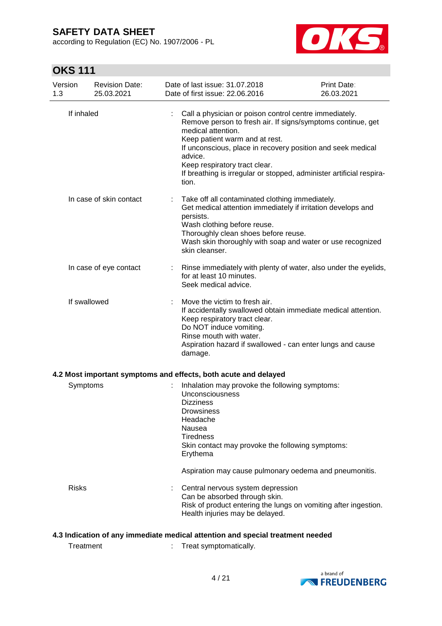according to Regulation (EC) No. 1907/2006 - PL



# **OKS 111**

| 1.3        | Version                                                                        | <b>Revision Date:</b><br>25.03.2021 |                                                                                                                                                                                                                                                                                                                                                                           | Date of last issue: 31.07.2018<br>Date of first issue: 22.06.2016                                                                                                                                                                                                                   | Print Date:<br>26.03.2021 |  |
|------------|--------------------------------------------------------------------------------|-------------------------------------|---------------------------------------------------------------------------------------------------------------------------------------------------------------------------------------------------------------------------------------------------------------------------------------------------------------------------------------------------------------------------|-------------------------------------------------------------------------------------------------------------------------------------------------------------------------------------------------------------------------------------------------------------------------------------|---------------------------|--|
| If inhaled |                                                                                |                                     | Call a physician or poison control centre immediately.<br>Remove person to fresh air. If signs/symptoms continue, get<br>medical attention.<br>Keep patient warm and at rest.<br>If unconscious, place in recovery position and seek medical<br>advice.<br>Keep respiratory tract clear.<br>If breathing is irregular or stopped, administer artificial respira-<br>tion. |                                                                                                                                                                                                                                                                                     |                           |  |
|            |                                                                                | In case of skin contact             |                                                                                                                                                                                                                                                                                                                                                                           | Take off all contaminated clothing immediately.<br>Get medical attention immediately if irritation develops and<br>persists.<br>Wash clothing before reuse.<br>Thoroughly clean shoes before reuse.<br>Wash skin thoroughly with soap and water or use recognized<br>skin cleanser. |                           |  |
|            |                                                                                | In case of eye contact              |                                                                                                                                                                                                                                                                                                                                                                           | Rinse immediately with plenty of water, also under the eyelids,<br>for at least 10 minutes.<br>Seek medical advice.                                                                                                                                                                 |                           |  |
|            | If swallowed                                                                   |                                     |                                                                                                                                                                                                                                                                                                                                                                           | Move the victim to fresh air.<br>If accidentally swallowed obtain immediate medical attention.<br>Keep respiratory tract clear.<br>Do NOT induce vomiting.<br>Rinse mouth with water.<br>Aspiration hazard if swallowed - can enter lungs and cause<br>damage.                      |                           |  |
|            |                                                                                |                                     |                                                                                                                                                                                                                                                                                                                                                                           | 4.2 Most important symptoms and effects, both acute and delayed                                                                                                                                                                                                                     |                           |  |
|            | Symptoms                                                                       |                                     |                                                                                                                                                                                                                                                                                                                                                                           | Inhalation may provoke the following symptoms:<br><b>Unconsciousness</b><br><b>Dizziness</b><br>Drowsiness<br>Headache<br>Nausea<br><b>Tiredness</b><br>Skin contact may provoke the following symptoms:<br>Erythema<br>Aspiration may cause pulmonary oedema and pneumonitis.      |                           |  |
|            | <b>Risks</b>                                                                   |                                     |                                                                                                                                                                                                                                                                                                                                                                           | Central nervous system depression<br>Can be absorbed through skin.<br>Risk of product entering the lungs on vomiting after ingestion.<br>Health injuries may be delayed.                                                                                                            |                           |  |
|            | 4.3 Indication of any immediate medical attention and special treatment needed |                                     |                                                                                                                                                                                                                                                                                                                                                                           |                                                                                                                                                                                                                                                                                     |                           |  |
|            | Treatment                                                                      |                                     |                                                                                                                                                                                                                                                                                                                                                                           | Treat symptomatically.                                                                                                                                                                                                                                                              |                           |  |

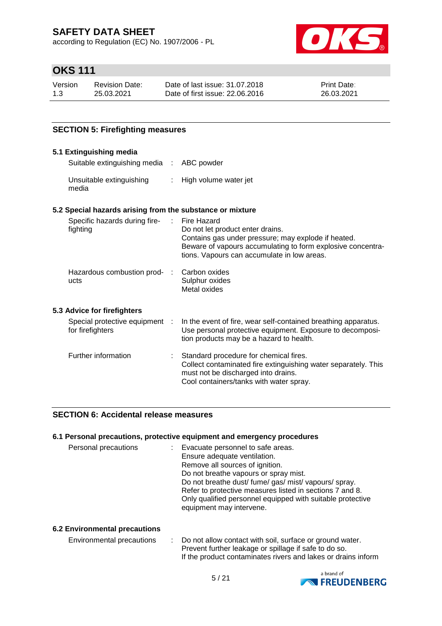according to Regulation (EC) No. 1907/2006 - PL



# **OKS 111**

| Version | <b>Revision Date:</b> | Date of last issue: 31.07.2018  | <b>Print Date:</b> |
|---------|-----------------------|---------------------------------|--------------------|
| 1.3     | 25.03.2021            | Date of first issue: 22,06,2016 | 26.03.2021         |

### **SECTION 5: Firefighting measures**

#### **5.1 Extinguishing media** Suitable extinguishing media : ABC powder Unsuitable extinguishing media : High volume water jet **5.2 Special hazards arising from the substance or mixture** Specific hazards during firefighting : Fire Hazard Do not let product enter drains. Contains gas under pressure; may explode if heated. Beware of vapours accumulating to form explosive concentrations. Vapours can accumulate in low areas. Hazardous combustion prod- : ucts Carbon oxides Sulphur oxides Metal oxides **5.3 Advice for firefighters** Special protective equipment : for firefighters : In the event of fire, wear self-contained breathing apparatus. Use personal protective equipment. Exposure to decomposition products may be a hazard to health. Further information : Standard procedure for chemical fires. Collect contaminated fire extinguishing water separately. This must not be discharged into drains.

#### **SECTION 6: Accidental release measures**

#### **6.1 Personal precautions, protective equipment and emergency procedures**

| Personal precautions | Evacuate personnel to safe areas.<br>Ensure adequate ventilation.<br>Remove all sources of ignition.<br>Do not breathe vapours or spray mist.<br>Do not breathe dust/fume/gas/mist/vapours/spray.<br>Refer to protective measures listed in sections 7 and 8.<br>Only qualified personnel equipped with suitable protective<br>equipment may intervene. |
|----------------------|---------------------------------------------------------------------------------------------------------------------------------------------------------------------------------------------------------------------------------------------------------------------------------------------------------------------------------------------------------|
|                      |                                                                                                                                                                                                                                                                                                                                                         |

Cool containers/tanks with water spray.

#### **6.2 Environmental precautions**

| Environmental precautions | : Do not allow contact with soil, surface or ground water.    |
|---------------------------|---------------------------------------------------------------|
|                           | Prevent further leakage or spillage if safe to do so.         |
|                           | If the product contaminates rivers and lakes or drains inform |

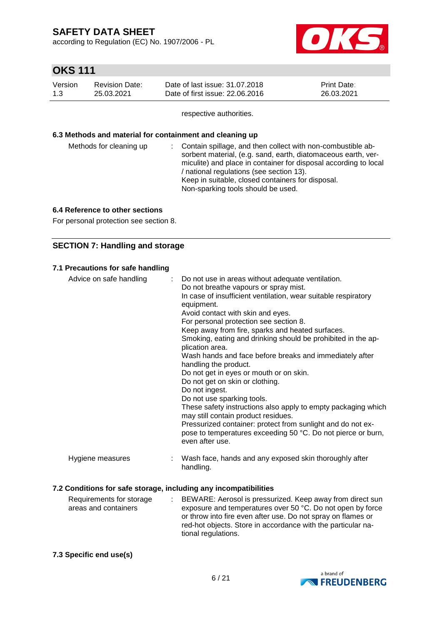according to Regulation (EC) No. 1907/2006 - PL



# **OKS 111**

| Version | <b>Revision Date:</b> | Date of last issue: 31,07,2018  | <b>Print Date:</b> |
|---------|-----------------------|---------------------------------|--------------------|
| 1.3     | 25.03.2021            | Date of first issue: 22,06,2016 | 26.03.2021         |

respective authorities.

#### **6.3 Methods and material for containment and cleaning up**

| Methods for cleaning up | : Contain spillage, and then collect with non-combustible ab-<br>sorbent material, (e.g. sand, earth, diatomaceous earth, ver-<br>miculite) and place in container for disposal according to local<br>/ national regulations (see section 13).<br>Keep in suitable, closed containers for disposal.<br>Non-sparking tools should be used. |
|-------------------------|-------------------------------------------------------------------------------------------------------------------------------------------------------------------------------------------------------------------------------------------------------------------------------------------------------------------------------------------|
|                         |                                                                                                                                                                                                                                                                                                                                           |

#### **6.4 Reference to other sections**

For personal protection see section 8.

#### **SECTION 7: Handling and storage**

#### **7.1 Precautions for safe handling**

| Advice on safe handling                                          | : Do not use in areas without adequate ventilation.<br>Do not breathe vapours or spray mist.<br>In case of insufficient ventilation, wear suitable respiratory<br>equipment.<br>Avoid contact with skin and eyes.<br>For personal protection see section 8.<br>Keep away from fire, sparks and heated surfaces.<br>Smoking, eating and drinking should be prohibited in the ap-<br>plication area.<br>Wash hands and face before breaks and immediately after<br>handling the product.<br>Do not get in eyes or mouth or on skin.<br>Do not get on skin or clothing.<br>Do not ingest.<br>Do not use sparking tools.<br>These safety instructions also apply to empty packaging which<br>may still contain product residues.<br>Pressurized container: protect from sunlight and do not ex-<br>pose to temperatures exceeding 50 °C. Do not pierce or burn, |
|------------------------------------------------------------------|-------------------------------------------------------------------------------------------------------------------------------------------------------------------------------------------------------------------------------------------------------------------------------------------------------------------------------------------------------------------------------------------------------------------------------------------------------------------------------------------------------------------------------------------------------------------------------------------------------------------------------------------------------------------------------------------------------------------------------------------------------------------------------------------------------------------------------------------------------------|
| Hygiene measures                                                 | even after use.<br>Wash face, hands and any exposed skin thoroughly after<br>handling.                                                                                                                                                                                                                                                                                                                                                                                                                                                                                                                                                                                                                                                                                                                                                                      |
| 7.2 Conditions for safe storage, including any incompatibilities |                                                                                                                                                                                                                                                                                                                                                                                                                                                                                                                                                                                                                                                                                                                                                                                                                                                             |

#### Requirements for storage areas and containers : BEWARE: Aerosol is pressurized. Keep away from direct sun exposure and temperatures over 50 °C. Do not open by force or throw into fire even after use. Do not spray on flames or red-hot objects. Store in accordance with the particular national regulations.

#### **7.3 Specific end use(s)**

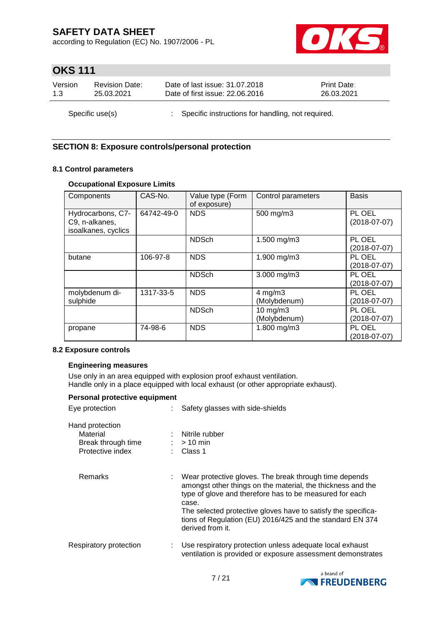according to Regulation (EC) No. 1907/2006 - PL



# **OKS 111**

| Version         | <b>Revision Date:</b> | Date of last issue: 31.07.2018                      | <b>Print Date:</b> |
|-----------------|-----------------------|-----------------------------------------------------|--------------------|
| 1.3             | 25.03.2021            | Date of first issue: 22.06.2016                     | 26.03.2021         |
| Specific use(s) |                       | : Specific instructions for handling, not required. |                    |

### **SECTION 8: Exposure controls/personal protection**

#### **8.1 Control parameters**

#### **Occupational Exposure Limits**

| Components                                                 | CAS-No.    | Value type (Form<br>of exposure) | Control parameters            | <b>Basis</b>             |
|------------------------------------------------------------|------------|----------------------------------|-------------------------------|--------------------------|
| Hydrocarbons, C7-<br>C9, n-alkanes,<br>isoalkanes, cyclics | 64742-49-0 | <b>NDS</b>                       | 500 mg/m3                     | PL OEL<br>$(2018-07-07)$ |
|                                                            |            | <b>NDSch</b>                     | 1.500 mg/m3                   | PL OEL<br>$(2018-07-07)$ |
| butane                                                     | 106-97-8   | <b>NDS</b>                       | 1.900 mg/m3                   | PL OEL<br>$(2018-07-07)$ |
|                                                            |            | <b>NDSch</b>                     | 3.000 mg/m3                   | PL OEL<br>(2018-07-07)   |
| molybdenum di-<br>sulphide                                 | 1317-33-5  | <b>NDS</b>                       | $4$ mg/m $3$<br>(Molybdenum)  | PL OEL<br>(2018-07-07)   |
|                                                            |            | <b>NDSch</b>                     | $10$ mg/m $3$<br>(Molybdenum) | PL OEL<br>$(2018-07-07)$ |
| propane                                                    | 74-98-6    | <b>NDS</b>                       | 1.800 mg/m3                   | PL OEL<br>(2018-07-07)   |

#### **8.2 Exposure controls**

#### **Engineering measures**

Use only in an area equipped with explosion proof exhaust ventilation. Handle only in a place equipped with local exhaust (or other appropriate exhaust).

| Personal protective equipment<br>Eye protection                       | : Safety glasses with side-shields                                                                                                                                                                                                                                                                                                            |
|-----------------------------------------------------------------------|-----------------------------------------------------------------------------------------------------------------------------------------------------------------------------------------------------------------------------------------------------------------------------------------------------------------------------------------------|
| Hand protection<br>Material<br>Break through time<br>Protective index | : Nitrile rubber<br>$\therefore$ > 10 min<br>$\therefore$ Class 1                                                                                                                                                                                                                                                                             |
| Remarks                                                               | : Wear protective gloves. The break through time depends<br>amongst other things on the material, the thickness and the<br>type of glove and therefore has to be measured for each<br>case.<br>The selected protective gloves have to satisfy the specifica-<br>tions of Regulation (EU) 2016/425 and the standard EN 374<br>derived from it. |
| Respiratory protection                                                | Use respiratory protection unless adequate local exhaust<br>ventilation is provided or exposure assessment demonstrates                                                                                                                                                                                                                       |

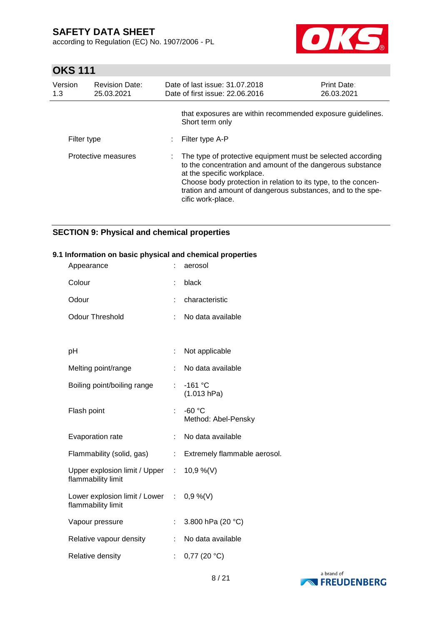according to Regulation (EC) No. 1907/2006 - PL



# **OKS 111**

| Version<br>1.3 | <b>Revision Date:</b><br>25.03.2021 |  | Date of last issue: 31.07.2018<br>Date of first issue: 22.06.2016                                                                                                                                                                                                                                               | <b>Print Date:</b><br>26.03.2021 |
|----------------|-------------------------------------|--|-----------------------------------------------------------------------------------------------------------------------------------------------------------------------------------------------------------------------------------------------------------------------------------------------------------------|----------------------------------|
|                |                                     |  | that exposures are within recommended exposure guidelines.<br>Short term only                                                                                                                                                                                                                                   |                                  |
|                | Filter type                         |  | Filter type A-P                                                                                                                                                                                                                                                                                                 |                                  |
|                | Protective measures                 |  | : The type of protective equipment must be selected according<br>to the concentration and amount of the dangerous substance<br>at the specific workplace.<br>Choose body protection in relation to its type, to the concen-<br>tration and amount of dangerous substances, and to the spe-<br>cific work-place. |                                  |

### **SECTION 9: Physical and chemical properties**

#### **9.1 Information on basic physical and chemical properties**

| Appearance                                                     |    | aerosol                         |
|----------------------------------------------------------------|----|---------------------------------|
| Colour                                                         | t  | black                           |
| Odour                                                          |    | characteristic                  |
| <b>Odour Threshold</b>                                         | ÷  | No data available               |
|                                                                |    |                                 |
| рH                                                             | ÷  | Not applicable                  |
| Melting point/range                                            | ÷  | No data available               |
| Boiling point/boiling range                                    | ÷. | $-161$ °C<br>(1.013 hPa)        |
| Flash point                                                    | ł. | $-60$ °C<br>Method: Abel-Pensky |
| Evaporation rate                                               | t  | No data available               |
| Flammability (solid, gas)                                      | t. | Extremely flammable aerosol.    |
| Upper explosion limit / Upper :<br>flammability limit          |    | $10,9\%$ (V)                    |
| Lower explosion limit / Lower : 0,9 %(V)<br>flammability limit |    |                                 |
| Vapour pressure                                                | t  | 3.800 hPa (20 °C)               |
| Relative vapour density                                        |    | No data available               |
| Relative density                                               | t. | $0,77$ (20 $^{\circ}$ C)        |

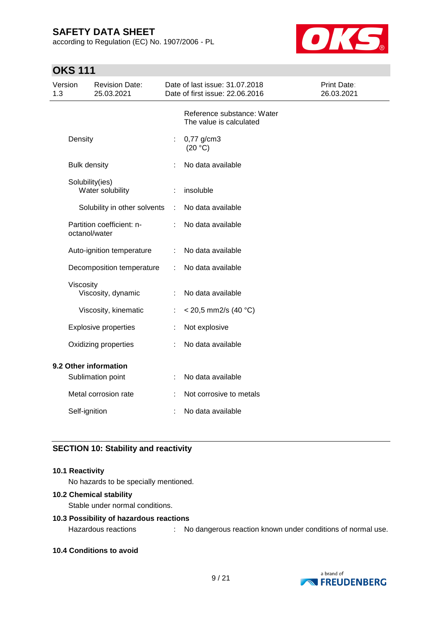according to Regulation (EC) No. 1907/2006 - PL



# **OKS 111**

| Version<br>1.3 |                     | <b>Revision Date:</b><br>25.03.2021 |   | Date of last issue: 31.07.2018<br>Date of first issue: 22.06.2016 | Print Date:<br>26.03.2021 |
|----------------|---------------------|-------------------------------------|---|-------------------------------------------------------------------|---------------------------|
|                |                     |                                     |   | Reference substance: Water<br>The value is calculated             |                           |
|                | Density             |                                     | ÷ | 0,77 g/cm3<br>(20 °C)                                             |                           |
|                | <b>Bulk density</b> |                                     |   | No data available                                                 |                           |
|                | Solubility(ies)     | Water solubility                    |   | insoluble                                                         |                           |
|                |                     | Solubility in other solvents        | ÷ | No data available                                                 |                           |
|                | octanol/water       | Partition coefficient: n-           |   | No data available                                                 |                           |
|                |                     | Auto-ignition temperature           |   | No data available                                                 |                           |
|                |                     | Decomposition temperature           | ÷ | No data available                                                 |                           |
|                | Viscosity           | Viscosity, dynamic                  | ÷ | No data available                                                 |                           |
|                |                     | Viscosity, kinematic                | ÷ | $<$ 20,5 mm2/s (40 °C)                                            |                           |
|                |                     | <b>Explosive properties</b>         |   | Not explosive                                                     |                           |
|                |                     | Oxidizing properties                |   | No data available                                                 |                           |
|                |                     | 9.2 Other information               |   |                                                                   |                           |
|                |                     | Sublimation point                   |   | No data available                                                 |                           |
|                |                     | Metal corrosion rate                |   | Not corrosive to metals                                           |                           |
|                | Self-ignition       |                                     |   | No data available                                                 |                           |

### **SECTION 10: Stability and reactivity**

#### **10.1 Reactivity**

No hazards to be specially mentioned.

#### **10.2 Chemical stability**

Stable under normal conditions.

#### **10.3 Possibility of hazardous reactions**

Hazardous reactions : No dangerous reaction known under conditions of normal use.

**10.4 Conditions to avoid**

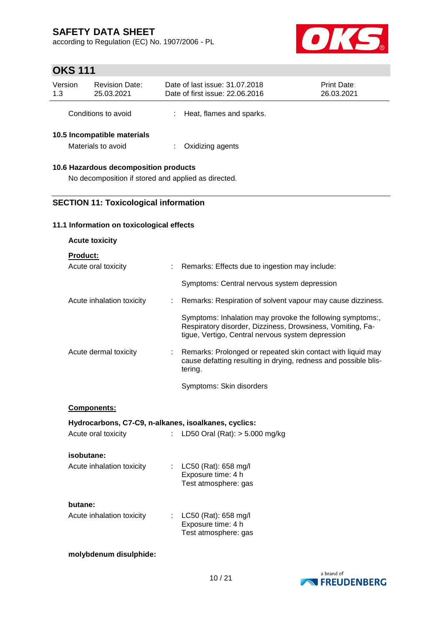according to Regulation (EC) No. 1907/2006 - PL



# **OKS 111**

| Version<br>1.3                        | <b>Revision Date:</b><br>25.03.2021               |  | Date of last issue: 31.07.2018<br>Date of first issue: 22.06.2016 | Print Date:<br>26.03.2021 |  |  |  |
|---------------------------------------|---------------------------------------------------|--|-------------------------------------------------------------------|---------------------------|--|--|--|
|                                       | Conditions to avoid                               |  | Heat, flames and sparks.                                          |                           |  |  |  |
|                                       | 10.5 Incompatible materials<br>Materials to avoid |  | Oxidizing agents                                                  |                           |  |  |  |
| 10.6 Hazardous decomposition products |                                                   |  |                                                                   |                           |  |  |  |

# No decomposition if stored and applied as directed.

# **SECTION 11: Toxicological information**

#### **11.1 Information on toxicological effects**

| <b>Acute toxicity</b>                                |    |                                                                                                                                                                              |
|------------------------------------------------------|----|------------------------------------------------------------------------------------------------------------------------------------------------------------------------------|
| <b>Product:</b><br>Acute oral toxicity               |    | : Remarks: Effects due to ingestion may include:                                                                                                                             |
|                                                      |    | Symptoms: Central nervous system depression                                                                                                                                  |
| Acute inhalation toxicity                            | ÷  | Remarks: Respiration of solvent vapour may cause dizziness.                                                                                                                  |
|                                                      |    | Symptoms: Inhalation may provoke the following symptoms:,<br>Respiratory disorder, Dizziness, Drowsiness, Vomiting, Fa-<br>tigue, Vertigo, Central nervous system depression |
| Acute dermal toxicity                                | ÷. | Remarks: Prolonged or repeated skin contact with liquid may<br>cause defatting resulting in drying, redness and possible blis-<br>tering.                                    |
|                                                      |    | Symptoms: Skin disorders                                                                                                                                                     |
| Components:                                          |    |                                                                                                                                                                              |
| Hydrocarbons, C7-C9, n-alkanes, isoalkanes, cyclics: |    |                                                                                                                                                                              |
| Acute oral toxicity                                  | ÷. | LD50 Oral (Rat): $> 5.000$ mg/kg                                                                                                                                             |
| isobutane:                                           |    |                                                                                                                                                                              |
| Acute inhalation toxicity                            | t. | LC50 (Rat): 658 mg/l<br>Exposure time: 4 h<br>Test atmosphere: gas                                                                                                           |
| butane:<br>Acute inhalation toxicity                 | t. | LC50 (Rat): 658 mg/l<br>Exposure time: 4 h<br>Test atmosphere: gas                                                                                                           |

#### **molybdenum disulphide:**

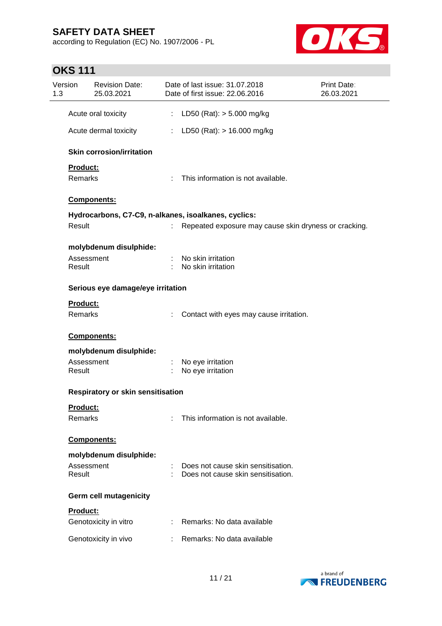according to Regulation (EC) No. 1907/2006 - PL



# **OKS 111**

| Version<br>1.3 |                                          | <b>Revision Date:</b><br>25.03.2021 |    | Date of last issue: 31.07.2018<br>Date of first issue: 22.06.2016 | Print Date:<br>26.03.2021 |  |  |
|----------------|------------------------------------------|-------------------------------------|----|-------------------------------------------------------------------|---------------------------|--|--|
|                |                                          | Acute oral toxicity                 | t. | LD50 (Rat): $> 5.000$ mg/kg                                       |                           |  |  |
|                |                                          | Acute dermal toxicity               | t. | LD50 (Rat): $> 16.000$ mg/kg                                      |                           |  |  |
|                |                                          | <b>Skin corrosion/irritation</b>    |    |                                                                   |                           |  |  |
|                | Product:                                 |                                     |    |                                                                   |                           |  |  |
|                | <b>Remarks</b>                           |                                     | ÷. | This information is not available.                                |                           |  |  |
|                | Components:                              |                                     |    |                                                                   |                           |  |  |
|                |                                          |                                     |    | Hydrocarbons, C7-C9, n-alkanes, isoalkanes, cyclics:              |                           |  |  |
|                | Result                                   |                                     |    | Repeated exposure may cause skin dryness or cracking.             |                           |  |  |
|                |                                          | molybdenum disulphide:              |    |                                                                   |                           |  |  |
|                | Assessment<br>Result                     |                                     |    | No skin irritation<br>No skin irritation                          |                           |  |  |
|                | Serious eye damage/eye irritation        |                                     |    |                                                                   |                           |  |  |
|                | Product:                                 |                                     |    |                                                                   |                           |  |  |
|                | Remarks                                  |                                     |    | Contact with eyes may cause irritation.                           |                           |  |  |
|                | Components:                              |                                     |    |                                                                   |                           |  |  |
|                |                                          | molybdenum disulphide:              |    |                                                                   |                           |  |  |
|                | Assessment<br>Result                     |                                     |    | No eye irritation<br>No eye irritation                            |                           |  |  |
|                | <b>Respiratory or skin sensitisation</b> |                                     |    |                                                                   |                           |  |  |
|                | Product:                                 |                                     |    |                                                                   |                           |  |  |
|                | Remarks                                  |                                     |    | This information is not available.                                |                           |  |  |
|                | Components:                              |                                     |    |                                                                   |                           |  |  |
|                |                                          | molybdenum disulphide:              |    |                                                                   |                           |  |  |
|                | Assessment                               |                                     |    | Does not cause skin sensitisation.                                |                           |  |  |
|                | Result                                   |                                     |    | Does not cause skin sensitisation.                                |                           |  |  |
|                |                                          | Germ cell mutagenicity              |    |                                                                   |                           |  |  |
|                | Product:                                 |                                     |    |                                                                   |                           |  |  |
|                |                                          | Genotoxicity in vitro               |    | Remarks: No data available                                        |                           |  |  |
|                |                                          | Genotoxicity in vivo                |    | Remarks: No data available                                        |                           |  |  |

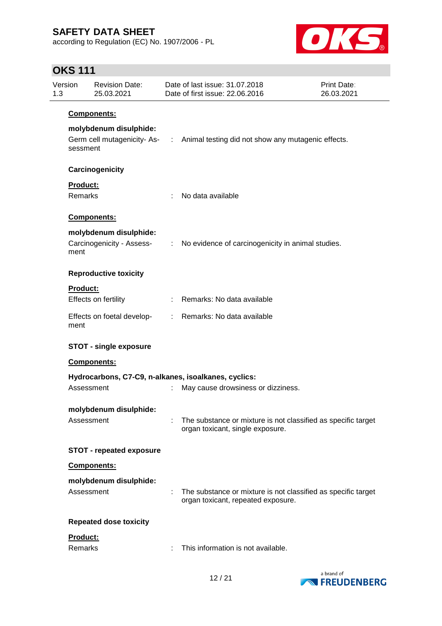according to Regulation (EC) No. 1907/2006 - PL



# **OKS 111**

| Version<br>1.3 |                                    | <b>Revision Date:</b><br>25.03.2021                 |   | Date of last issue: 31.07.2018<br>Date of first issue: 22.06.2016                                   | <b>Print Date:</b><br>26.03.2021 |  |  |  |  |
|----------------|------------------------------------|-----------------------------------------------------|---|-----------------------------------------------------------------------------------------------------|----------------------------------|--|--|--|--|
|                | Components:                        |                                                     |   |                                                                                                     |                                  |  |  |  |  |
|                | molybdenum disulphide:<br>sessment |                                                     |   | Germ cell mutagenicity- As- : Animal testing did not show any mutagenic effects.                    |                                  |  |  |  |  |
|                |                                    | Carcinogenicity                                     |   |                                                                                                     |                                  |  |  |  |  |
|                | Product:<br>Remarks                |                                                     | ÷ | No data available                                                                                   |                                  |  |  |  |  |
|                |                                    | Components:                                         |   |                                                                                                     |                                  |  |  |  |  |
|                | ment                               | molybdenum disulphide:<br>Carcinogenicity - Assess- |   | : No evidence of carcinogenicity in animal studies.                                                 |                                  |  |  |  |  |
|                | <b>Reproductive toxicity</b>       |                                                     |   |                                                                                                     |                                  |  |  |  |  |
|                | <b>Product:</b>                    | Effects on fertility                                |   | : Remarks: No data available                                                                        |                                  |  |  |  |  |
|                | ment                               | Effects on foetal develop-                          |   | : Remarks: No data available                                                                        |                                  |  |  |  |  |
|                |                                    | <b>STOT - single exposure</b>                       |   |                                                                                                     |                                  |  |  |  |  |
|                |                                    | Components:                                         |   |                                                                                                     |                                  |  |  |  |  |
|                | Assessment                         |                                                     | ÷ | Hydrocarbons, C7-C9, n-alkanes, isoalkanes, cyclics:<br>May cause drowsiness or dizziness.          |                                  |  |  |  |  |
|                |                                    |                                                     |   |                                                                                                     |                                  |  |  |  |  |
|                | Assessment                         | molybdenum disulphide:                              |   | The substance or mixture is not classified as specific target<br>organ toxicant, single exposure.   |                                  |  |  |  |  |
|                |                                    | <b>STOT - repeated exposure</b>                     |   |                                                                                                     |                                  |  |  |  |  |
|                |                                    | Components:                                         |   |                                                                                                     |                                  |  |  |  |  |
|                | Assessment                         | molybdenum disulphide:                              |   | The substance or mixture is not classified as specific target<br>organ toxicant, repeated exposure. |                                  |  |  |  |  |
|                |                                    | <b>Repeated dose toxicity</b>                       |   |                                                                                                     |                                  |  |  |  |  |
|                | Product:<br>Remarks                |                                                     |   | This information is not available.                                                                  |                                  |  |  |  |  |

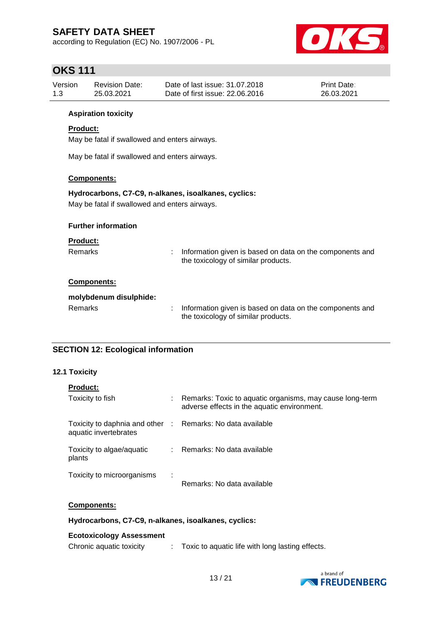according to Regulation (EC) No. 1907/2006 - PL



# **OKS 111**

| Version | Revision Date: | Date of last issue: 31.07.2018  | <b>Print Date:</b> |
|---------|----------------|---------------------------------|--------------------|
| 1.3     | 25.03.2021     | Date of first issue: 22,06,2016 | 26.03.2021         |

#### **Aspiration toxicity**

#### **Product:**

May be fatal if swallowed and enters airways.

May be fatal if swallowed and enters airways.

#### **Components:**

#### **Hydrocarbons, C7-C9, n-alkanes, isoalkanes, cyclics:**

May be fatal if swallowed and enters airways.

| <b>Further information</b>               |                                                                                                 |
|------------------------------------------|-------------------------------------------------------------------------------------------------|
| <b>Product:</b><br>Remarks               | Information given is based on data on the components and<br>the toxicology of similar products. |
| Components:                              |                                                                                                 |
| molybdenum disulphide:<br><b>Remarks</b> | Information given is based on data on the components and<br>the toxicology of similar products. |

#### **SECTION 12: Ecological information**

#### **12.1 Toxicity**

| <b>Product:</b>                                                                     |   |                                                                                                           |
|-------------------------------------------------------------------------------------|---|-----------------------------------------------------------------------------------------------------------|
| Toxicity to fish                                                                    |   | : Remarks: Toxic to aquatic organisms, may cause long-term<br>adverse effects in the aquatic environment. |
| Toxicity to daphnia and other : Remarks: No data available<br>aquatic invertebrates |   |                                                                                                           |
| Toxicity to algae/aquatic<br>plants                                                 |   | : Remarks: No data available                                                                              |
| Toxicity to microorganisms                                                          | ÷ | Remarks: No data available                                                                                |

#### **Components:**

**Hydrocarbons, C7-C9, n-alkanes, isoalkanes, cyclics:**

#### **Ecotoxicology Assessment**

| Chronic aquatic toxicity |  | Toxic to aquatic life with long lasting effects. |
|--------------------------|--|--------------------------------------------------|
|--------------------------|--|--------------------------------------------------|

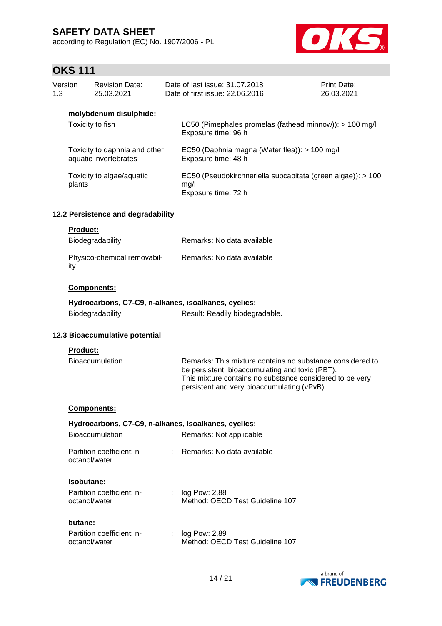according to Regulation (EC) No. 1907/2006 - PL



# **OKS 111**

| Version<br>1.3                     | <b>Revision Date:</b><br>25.03.2021                      | Date of last issue: 31.07.2018<br>Date of first issue: 22.06.2016 |                                                                                            | Print Date:<br>26.03.2021 |
|------------------------------------|----------------------------------------------------------|-------------------------------------------------------------------|--------------------------------------------------------------------------------------------|---------------------------|
|                                    | molybdenum disulphide:<br>Toxicity to fish               |                                                                   | LC50 (Pimephales promelas (fathead minnow)): $> 100$ mg/l<br>Exposure time: 96 h           |                           |
|                                    | Toxicity to daphnia and other :<br>aquatic invertebrates |                                                                   | EC50 (Daphnia magna (Water flea)): > 100 mg/l<br>Exposure time: 48 h                       |                           |
|                                    | Toxicity to algae/aquatic<br>plants                      |                                                                   | EC50 (Pseudokirchneriella subcapitata (green algae)): > 100<br>mg/l<br>Exposure time: 72 h |                           |
| 12.2 Persistence and degradability |                                                          |                                                                   |                                                                                            |                           |
|                                    | <b>Product:</b><br>Biodegradability                      |                                                                   | : Remarks: No data available                                                               |                           |
| ity                                |                                                          |                                                                   | Physico-chemical removabil- : Remarks: No data available                                   |                           |

#### **Components:**

|                  | Hydrocarbons, C7-C9, n-alkanes, isoalkanes, cyclics: |
|------------------|------------------------------------------------------|
| Biodegradability | Result: Readily biodegradable.                       |

#### **12.3 Bioaccumulative potential**

#### **Product:**

| Bioaccumulation |  | : Remarks: This mixture contains no substance considered to |
|-----------------|--|-------------------------------------------------------------|
|                 |  | be persistent, bioaccumulating and toxic (PBT).             |
|                 |  | This mixture contains no substance considered to be very    |
|                 |  | persistent and very bioaccumulating (vPvB).                 |

#### **Components:**

| Hydrocarbons, C7-C9, n-alkanes, isoalkanes, cyclics:<br><b>Bioaccumulation</b> | Remarks: Not applicable                            |
|--------------------------------------------------------------------------------|----------------------------------------------------|
| Partition coefficient: n-<br>octanol/water                                     | Remarks: No data available                         |
| isobutane:<br>Partition coefficient: n-<br>octanol/water                       | $log$ Pow: 2,88<br>Method: OECD Test Guideline 107 |
| butane:<br>Partition coefficient: n-                                           | log Pow: 2.89                                      |



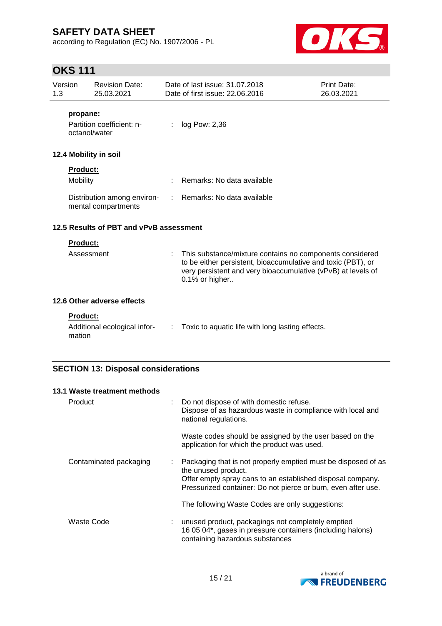according to Regulation (EC) No. 1907/2006 - PL



# **OKS 111**

| Version<br>1.3                                                             | <b>Revision Date:</b><br>25.03.2021                |                             | Date of last issue: 31.07.2018<br>Date of first issue: 22.06.2016                                                                                                                                          | <b>Print Date:</b><br>26.03.2021 |  |  |
|----------------------------------------------------------------------------|----------------------------------------------------|-----------------------------|------------------------------------------------------------------------------------------------------------------------------------------------------------------------------------------------------------|----------------------------------|--|--|
| propane:                                                                   | Partition coefficient: n-<br>octanol/water         |                             | log Pow: 2,36                                                                                                                                                                                              |                                  |  |  |
| 12.4 Mobility in soil                                                      |                                                    |                             |                                                                                                                                                                                                            |                                  |  |  |
| <b>Product:</b><br>Mobility                                                |                                                    |                             | Remarks: No data available                                                                                                                                                                                 |                                  |  |  |
|                                                                            | Distribution among environ-<br>mental compartments |                             | : Remarks: No data available                                                                                                                                                                               |                                  |  |  |
|                                                                            | 12.5 Results of PBT and vPvB assessment            |                             |                                                                                                                                                                                                            |                                  |  |  |
| <b>Product:</b>                                                            |                                                    |                             |                                                                                                                                                                                                            |                                  |  |  |
|                                                                            | Assessment                                         |                             | This substance/mixture contains no components considered<br>to be either persistent, bioaccumulative and toxic (PBT), or<br>very persistent and very bioaccumulative (vPvB) at levels of<br>0.1% or higher |                                  |  |  |
|                                                                            | 12.6 Other adverse effects                         |                             |                                                                                                                                                                                                            |                                  |  |  |
| <b>Product:</b>                                                            |                                                    |                             |                                                                                                                                                                                                            |                                  |  |  |
| mation                                                                     | Additional ecological infor-                       | $\mathcal{L}^{\mathcal{L}}$ | Toxic to aquatic life with long lasting effects.                                                                                                                                                           |                                  |  |  |
| <b>SECTION 13: Disposal considerations</b><br>13.1 Waste treatment methods |                                                    |                             |                                                                                                                                                                                                            |                                  |  |  |

| Product<br>Do not dispose of with domestic refuse.<br>Dispose of as hazardous waste in compliance with local and<br>national regulations.                                                                                                          |  |
|----------------------------------------------------------------------------------------------------------------------------------------------------------------------------------------------------------------------------------------------------|--|
|                                                                                                                                                                                                                                                    |  |
| Waste codes should be assigned by the user based on the<br>application for which the product was used.                                                                                                                                             |  |
| Packaging that is not properly emptied must be disposed of as<br>Contaminated packaging<br>÷<br>the unused product.<br>Offer empty spray cans to an established disposal company.<br>Pressurized container: Do not pierce or burn, even after use. |  |
| The following Waste Codes are only suggestions:                                                                                                                                                                                                    |  |
| Waste Code<br>unused product, packagings not completely emptied<br>16 05 04*, gases in pressure containers (including halons)<br>containing hazardous substances                                                                                   |  |

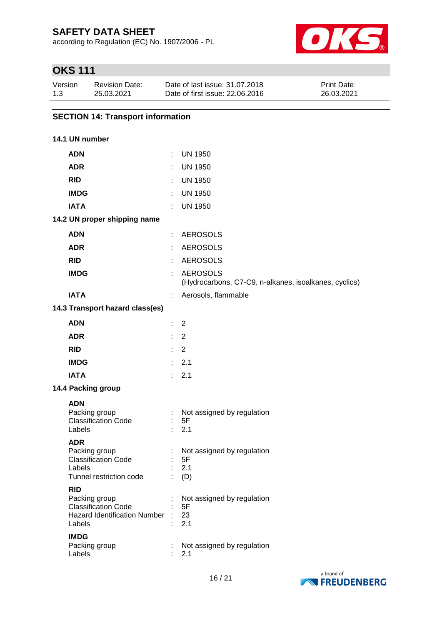according to Regulation (EC) No. 1907/2006 - PL



# **OKS 111**

| Version | Revision Date: | Date of last issue: 31.07.2018  | <b>Print Date:</b> |
|---------|----------------|---------------------------------|--------------------|
| 1.3     | 25.03.2021     | Date of first issue: 22,06,2016 | 26.03.2021         |

### **SECTION 14: Transport information**

#### **14.1 UN number**

| <b>ADN</b>                                                                                                                |                               | <b>UN 1950</b>                                                           |
|---------------------------------------------------------------------------------------------------------------------------|-------------------------------|--------------------------------------------------------------------------|
| <b>ADR</b>                                                                                                                | t.                            | <b>UN 1950</b>                                                           |
| <b>RID</b>                                                                                                                | t.                            | <b>UN 1950</b>                                                           |
| <b>IMDG</b>                                                                                                               | ÷.                            | <b>UN 1950</b>                                                           |
| <b>IATA</b>                                                                                                               | ÷.                            | <b>UN 1950</b>                                                           |
| 14.2 UN proper shipping name                                                                                              |                               |                                                                          |
| <b>ADN</b>                                                                                                                |                               | <b>AEROSOLS</b>                                                          |
| <b>ADR</b>                                                                                                                | t.                            | <b>AEROSOLS</b>                                                          |
| <b>RID</b>                                                                                                                | ÷.                            | <b>AEROSOLS</b>                                                          |
| <b>IMDG</b>                                                                                                               | ÷.                            | <b>AEROSOLS</b><br>(Hydrocarbons, C7-C9, n-alkanes, isoalkanes, cyclics) |
| <b>IATA</b>                                                                                                               | ÷.                            | Aerosols, flammable                                                      |
| 14.3 Transport hazard class(es)                                                                                           |                               |                                                                          |
| <b>ADN</b>                                                                                                                | $\mathbb{R}^{\mathbb{Z}}$     | 2                                                                        |
| <b>ADR</b>                                                                                                                | $\mathbb{R}^{\mathbb{Z}}$     | 2                                                                        |
| <b>RID</b>                                                                                                                | ÷.                            | 2                                                                        |
| <b>IMDG</b>                                                                                                               | $\mathcal{L}^{\mathcal{L}}$ . | 2.1                                                                      |
| <b>IATA</b>                                                                                                               | ÷.                            | 2.1                                                                      |
| 14.4 Packing group                                                                                                        |                               |                                                                          |
| <b>ADN</b><br>Packing group<br><b>Classification Code</b><br>Labels                                                       | $\mathbb{Z}^{\times}$<br>÷.   | Not assigned by regulation<br>5F<br>2.1                                  |
| <b>ADR</b><br>Packing group<br><b>Classification Code</b><br>Labels<br>Tunnel restriction code                            | ÷.                            | Not assigned by regulation<br>5F<br>2.1<br>(D)                           |
| <b>RID</b><br>Packing group<br><b>Classification Code</b><br><b>Hazard Identification Number</b><br>Labels<br><b>IMDG</b> |                               | Not assigned by regulation<br>5F<br>23<br>2.1                            |
| Packing group<br>Labels                                                                                                   |                               | Not assigned by regulation<br>2.1                                        |

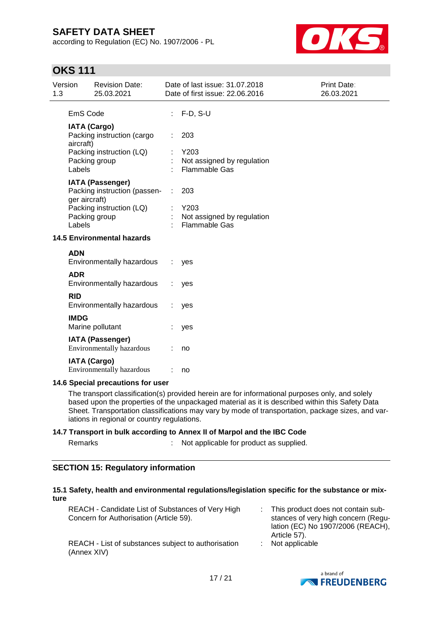according to Regulation (EC) No. 1907/2006 - PL



# **OKS 111**

| Version<br><b>Revision Date:</b><br>1.3<br>25.03.2021                                                                 |                                   |                                                                                                      | Date of last issue: 31.07.2018<br>Date of first issue: 22.06.2016 | Print Date:<br>26.03.2021                                         |  |  |
|-----------------------------------------------------------------------------------------------------------------------|-----------------------------------|------------------------------------------------------------------------------------------------------|-------------------------------------------------------------------|-------------------------------------------------------------------|--|--|
|                                                                                                                       | EmS Code                          |                                                                                                      |                                                                   | $F-D, S-U$                                                        |  |  |
| <b>IATA (Cargo)</b><br>Packing instruction (cargo<br>aircraft)<br>Packing instruction (LQ)<br>Packing group<br>Labels |                                   |                                                                                                      | 203<br>Y203<br>Not assigned by regulation<br><b>Flammable Gas</b> |                                                                   |  |  |
|                                                                                                                       | ger aircraft)<br>Labels           | <b>IATA (Passenger)</b><br>Packing instruction (passen-<br>Packing instruction (LQ)<br>Packing group | ÷.                                                                | 203<br>Y203<br>Not assigned by regulation<br><b>Flammable Gas</b> |  |  |
| <b>14.5 Environmental hazards</b>                                                                                     |                                   |                                                                                                      |                                                                   |                                                                   |  |  |
|                                                                                                                       | <b>ADN</b>                        | Environmentally hazardous                                                                            |                                                                   | yes                                                               |  |  |
|                                                                                                                       | <b>ADR</b>                        | Environmentally hazardous                                                                            |                                                                   | yes                                                               |  |  |
|                                                                                                                       | <b>RID</b>                        | Environmentally hazardous                                                                            |                                                                   | yes                                                               |  |  |
|                                                                                                                       | <b>IMDG</b>                       | Marine pollutant                                                                                     |                                                                   | yes                                                               |  |  |
|                                                                                                                       |                                   | <b>IATA (Passenger)</b><br><b>Environmentally hazardous</b>                                          |                                                                   | no                                                                |  |  |
|                                                                                                                       |                                   | <b>IATA (Cargo)</b><br>Environmentally hazardous                                                     |                                                                   | no                                                                |  |  |
|                                                                                                                       | 14.6 Special precautions for user |                                                                                                      |                                                                   |                                                                   |  |  |

The transport classification(s) provided herein are for informational purposes only, and solely based upon the properties of the unpackaged material as it is described within this Safety Data Sheet. Transportation classifications may vary by mode of transportation, package sizes, and variations in regional or country regulations.

#### **14.7 Transport in bulk according to Annex II of Marpol and the IBC Code**

| Remarks | Not applicable for product as supplied. |
|---------|-----------------------------------------|
|         |                                         |

#### **SECTION 15: Regulatory information**

#### **15.1 Safety, health and environmental regulations/legislation specific for the substance or mixture**

| REACH - Candidate List of Substances of Very High<br>Concern for Authorisation (Article 59). | : This product does not contain sub-<br>stances of very high concern (Regu-<br>lation (EC) No 1907/2006 (REACH),<br>Article 57). |
|----------------------------------------------------------------------------------------------|----------------------------------------------------------------------------------------------------------------------------------|
| REACH - List of substances subject to authorisation<br>(Annex XIV)                           | $:$ Not applicable                                                                                                               |

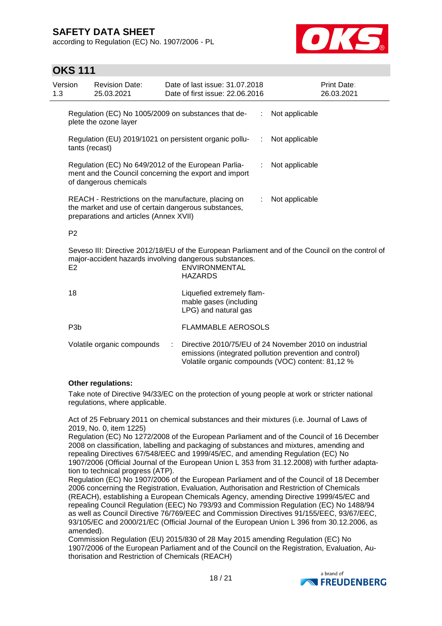according to Regulation (EC) No. 1907/2006 - PL



# **OKS 111**

| Version<br>1.3 |                  | <b>Revision Date:</b><br>25.03.2021                                                                                                                  | Date of last issue: 31.07.2018<br>Date of first issue: 22.06.2016                                                                                                                                    |    |                | Print Date:<br>26.03.2021 |
|----------------|------------------|------------------------------------------------------------------------------------------------------------------------------------------------------|------------------------------------------------------------------------------------------------------------------------------------------------------------------------------------------------------|----|----------------|---------------------------|
|                |                  | Regulation (EC) No 1005/2009 on substances that de-<br>plete the ozone layer                                                                         |                                                                                                                                                                                                      | ÷. | Not applicable |                           |
|                | tants (recast)   |                                                                                                                                                      | Regulation (EU) 2019/1021 on persistent organic pollu-                                                                                                                                               | ÷  | Not applicable |                           |
|                |                  | Regulation (EC) No 649/2012 of the European Parlia-<br>of dangerous chemicals                                                                        | ment and the Council concerning the export and import                                                                                                                                                | ÷  | Not applicable |                           |
|                |                  | REACH - Restrictions on the manufacture, placing on<br>the market and use of certain dangerous substances,<br>preparations and articles (Annex XVII) |                                                                                                                                                                                                      | ÷. | Not applicable |                           |
|                | P <sub>2</sub>   |                                                                                                                                                      |                                                                                                                                                                                                      |    |                |                           |
|                | E <sub>2</sub>   |                                                                                                                                                      | Seveso III: Directive 2012/18/EU of the European Parliament and of the Council on the control of<br>major-accident hazards involving dangerous substances.<br><b>ENVIRONMENTAL</b><br><b>HAZARDS</b> |    |                |                           |
|                | 18               |                                                                                                                                                      | Liquefied extremely flam-<br>mable gases (including<br>LPG) and natural gas                                                                                                                          |    |                |                           |
|                | P <sub>3</sub> b |                                                                                                                                                      | <b>FLAMMABLE AEROSOLS</b>                                                                                                                                                                            |    |                |                           |
|                |                  | Volatile organic compounds                                                                                                                           | Directive 2010/75/EU of 24 November 2010 on industrial<br>emissions (integrated pollution prevention and control)<br>Volatile organic compounds (VOC) content: 81,12 %                               |    |                |                           |

#### **Other regulations:**

Take note of Directive 94/33/EC on the protection of young people at work or stricter national regulations, where applicable.

Act of 25 February 2011 on chemical substances and their mixtures (i.e. Journal of Laws of 2019, No. 0, item 1225)

Regulation (EC) No 1272/2008 of the European Parliament and of the Council of 16 December 2008 on classification, labelling and packaging of substances and mixtures, amending and repealing Directives 67/548/EEC and 1999/45/EC, and amending Regulation (EC) No 1907/2006 (Official Journal of the European Union L 353 from 31.12.2008) with further adaptation to technical progress (ATP).

Regulation (EC) No 1907/2006 of the European Parliament and of the Council of 18 December 2006 concerning the Registration, Evaluation, Authorisation and Restriction of Chemicals (REACH), establishing a European Chemicals Agency, amending Directive 1999/45/EC and repealing Council Regulation (EEC) No 793/93 and Commission Regulation (EC) No 1488/94 as well as Council Directive 76/769/EEC and Commission Directives 91/155/EEC, 93/67/EEC, 93/105/EC and 2000/21/EC (Official Journal of the European Union L 396 from 30.12.2006, as amended).

Commission Regulation (EU) 2015/830 of 28 May 2015 amending Regulation (EC) No 1907/2006 of the European Parliament and of the Council on the Registration, Evaluation, Authorisation and Restriction of Chemicals (REACH)

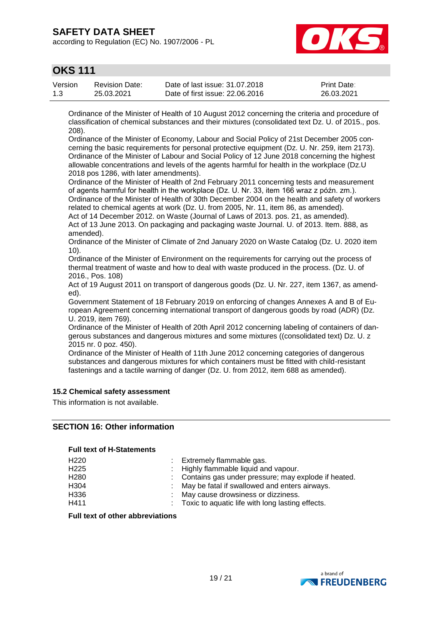according to Regulation (EC) No. 1907/2006 - PL



# **OKS 111**

| Version | Revision Date: | Date of last issue: 31,07,2018  | <b>Print Date:</b> |
|---------|----------------|---------------------------------|--------------------|
| 1.3     | 25.03.2021     | Date of first issue: 22.06.2016 | 26.03.2021         |

Ordinance of the Minister of Health of 10 August 2012 concerning the criteria and procedure of classification of chemical substances and their mixtures (consolidated text Dz. U. of 2015., pos. 208).

Ordinance of the Minister of Economy, Labour and Social Policy of 21st December 2005 concerning the basic requirements for personal protective equipment (Dz. U. Nr. 259, item 2173). Ordinance of the Minister of Labour and Social Policy of 12 June 2018 concerning the highest allowable concentrations and levels of the agents harmful for health in the workplace (Dz.U 2018 pos 1286, with later amendments).

Ordinance of the Minister of Health of 2nd February 2011 concerning tests and measurement of agents harmful for health in the workplace (Dz. U. Nr. 33, item 166 wraz z późn. zm.). Ordinance of the Minister of Health of 30th December 2004 on the health and safety of workers related to chemical agents at work (Dz. U. from 2005, Nr. 11, item 86, as amended).

Act of 14 December 2012. on Waste (Journal of Laws of 2013. pos. 21, as amended). Act of 13 June 2013. On packaging and packaging waste Journal. U. of 2013. Item. 888, as amended).

Ordinance of the Minister of Climate of 2nd January 2020 on Waste Catalog (Dz. U. 2020 item 10).

Ordinance of the Minister of Environment on the requirements for carrying out the process of thermal treatment of waste and how to deal with waste produced in the process. (Dz. U. of 2016., Pos. 108)

Act of 19 August 2011 on transport of dangerous goods (Dz. U. Nr. 227, item 1367, as amended).

Government Statement of 18 February 2019 on enforcing of changes Annexes A and B of European Agreement concerning international transport of dangerous goods by road (ADR) (Dz. U. 2019, item 769).

Ordinance of the Minister of Health of 20th April 2012 concerning labeling of containers of dangerous substances and dangerous mixtures and some mixtures ((consolidated text) Dz. U. z 2015 nr. 0 poz. 450).

Ordinance of the Minister of Health of 11th June 2012 concerning categories of dangerous substances and dangerous mixtures for which containers must be fitted with child-resistant fastenings and a tactile warning of danger (Dz. U. from 2012, item 688 as amended).

#### **15.2 Chemical safety assessment**

This information is not available.

#### **SECTION 16: Other information**

#### **Full text of H-Statements**

| H <sub>220</sub> | : Extremely flammable gas.                                    |
|------------------|---------------------------------------------------------------|
| H <sub>225</sub> | : Highly flammable liquid and vapour.                         |
| H <sub>280</sub> | : Contains gas under pressure; may explode if heated.         |
| H <sub>304</sub> | : May be fatal if swallowed and enters airways.               |
| H <sub>336</sub> | : May cause drowsiness or dizziness.                          |
| H411             | $\therefore$ Toxic to aquatic life with long lasting effects. |

**Full text of other abbreviations**

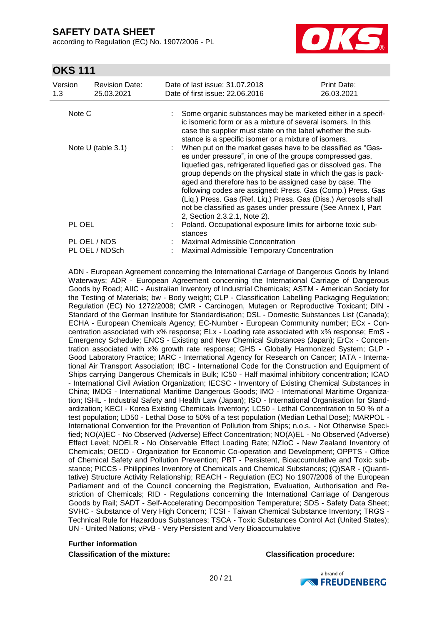according to Regulation (EC) No. 1907/2006 - PL



# **OKS 111**

| Version<br>1.3                                                                                                          | <b>Revision Date:</b><br>25.03.2021 |  | Date of last issue: 31.07.2018<br>Date of first issue: 22,06,2016                                                                                                                                                                                                                                                                                                                                                                                                                                                                                        | Print Date:<br>26.03.2021 |  |
|-------------------------------------------------------------------------------------------------------------------------|-------------------------------------|--|----------------------------------------------------------------------------------------------------------------------------------------------------------------------------------------------------------------------------------------------------------------------------------------------------------------------------------------------------------------------------------------------------------------------------------------------------------------------------------------------------------------------------------------------------------|---------------------------|--|
| Note C                                                                                                                  |                                     |  | Some organic substances may be marketed either in a specif-<br>ic isomeric form or as a mixture of several isomers. In this<br>case the supplier must state on the label whether the sub-<br>stance is a specific isomer or a mixture of isomers.                                                                                                                                                                                                                                                                                                        |                           |  |
| Note U (table $3.1$ )                                                                                                   |                                     |  | When put on the market gases have to be classified as "Gas-<br>es under pressure", in one of the groups compressed gas,<br>liquefied gas, refrigerated liquefied gas or dissolved gas. The<br>group depends on the physical state in which the gas is pack-<br>aged and therefore has to be assigned case by case. The<br>following codes are assigned: Press. Gas (Comp.) Press. Gas<br>(Liq.) Press. Gas (Ref. Liq.) Press. Gas (Diss.) Aerosols shall<br>not be classified as gases under pressure (See Annex I, Part<br>2, Section 2.3.2.1, Note 2). |                           |  |
| PL OEL                                                                                                                  |                                     |  | Poland. Occupational exposure limits for airborne toxic sub-<br>stances                                                                                                                                                                                                                                                                                                                                                                                                                                                                                  |                           |  |
| <b>Maximal Admissible Concentration</b><br>PL OEL / NDS<br>PL OEL / NDSch<br>Maximal Admissible Temporary Concentration |                                     |  |                                                                                                                                                                                                                                                                                                                                                                                                                                                                                                                                                          |                           |  |
|                                                                                                                         |                                     |  |                                                                                                                                                                                                                                                                                                                                                                                                                                                                                                                                                          |                           |  |

ADN - European Agreement concerning the International Carriage of Dangerous Goods by Inland Waterways; ADR - European Agreement concerning the International Carriage of Dangerous Goods by Road; AIIC - Australian Inventory of Industrial Chemicals; ASTM - American Society for the Testing of Materials; bw - Body weight; CLP - Classification Labelling Packaging Regulation; Regulation (EC) No 1272/2008; CMR - Carcinogen, Mutagen or Reproductive Toxicant; DIN - Standard of the German Institute for Standardisation; DSL - Domestic Substances List (Canada); ECHA - European Chemicals Agency; EC-Number - European Community number; ECx - Concentration associated with x% response; ELx - Loading rate associated with x% response; EmS - Emergency Schedule; ENCS - Existing and New Chemical Substances (Japan); ErCx - Concentration associated with x% growth rate response; GHS - Globally Harmonized System; GLP - Good Laboratory Practice; IARC - International Agency for Research on Cancer; IATA - International Air Transport Association; IBC - International Code for the Construction and Equipment of Ships carrying Dangerous Chemicals in Bulk; IC50 - Half maximal inhibitory concentration; ICAO - International Civil Aviation Organization; IECSC - Inventory of Existing Chemical Substances in China; IMDG - International Maritime Dangerous Goods; IMO - International Maritime Organization; ISHL - Industrial Safety and Health Law (Japan); ISO - International Organisation for Standardization; KECI - Korea Existing Chemicals Inventory; LC50 - Lethal Concentration to 50 % of a test population; LD50 - Lethal Dose to 50% of a test population (Median Lethal Dose); MARPOL - International Convention for the Prevention of Pollution from Ships; n.o.s. - Not Otherwise Specified; NO(A)EC - No Observed (Adverse) Effect Concentration; NO(A)EL - No Observed (Adverse) Effect Level; NOELR - No Observable Effect Loading Rate; NZIoC - New Zealand Inventory of Chemicals; OECD - Organization for Economic Co-operation and Development; OPPTS - Office of Chemical Safety and Pollution Prevention; PBT - Persistent, Bioaccumulative and Toxic substance; PICCS - Philippines Inventory of Chemicals and Chemical Substances; (Q)SAR - (Quantitative) Structure Activity Relationship; REACH - Regulation (EC) No 1907/2006 of the European Parliament and of the Council concerning the Registration, Evaluation, Authorisation and Restriction of Chemicals; RID - Regulations concerning the International Carriage of Dangerous Goods by Rail; SADT - Self-Accelerating Decomposition Temperature; SDS - Safety Data Sheet; SVHC - Substance of Very High Concern; TCSI - Taiwan Chemical Substance Inventory; TRGS - Technical Rule for Hazardous Substances; TSCA - Toxic Substances Control Act (United States); UN - United Nations; vPvB - Very Persistent and Very Bioaccumulative

#### **Further information**

**Classification of the mixture: Classification procedure:**